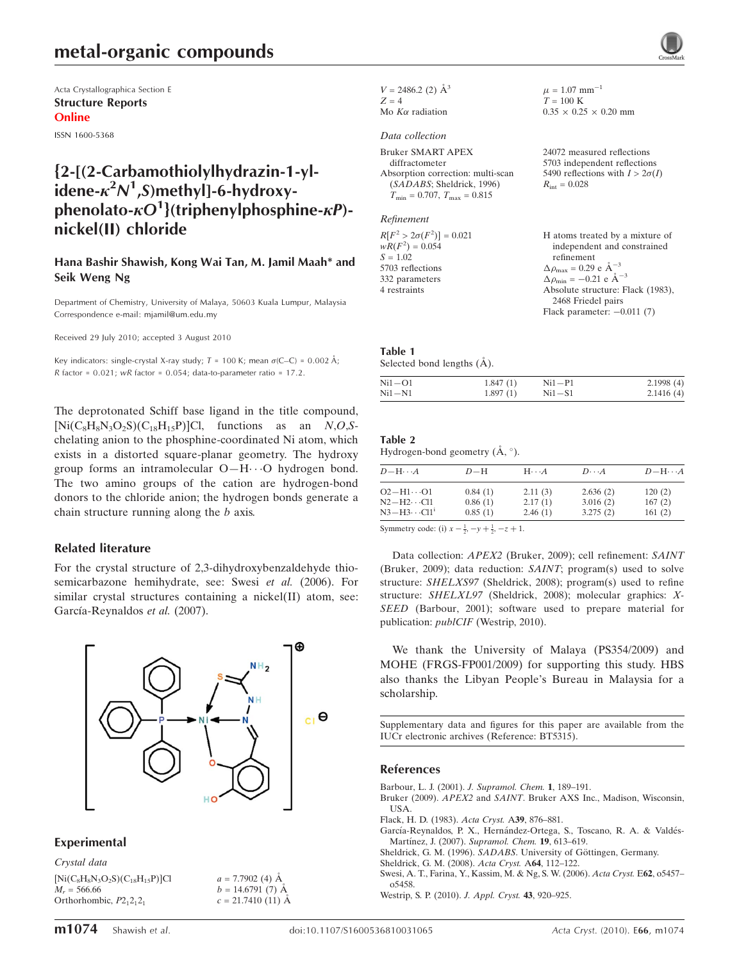## metal-organic compounds

Acta Crystallographica Section E Structure Reports Online

ISSN 1600-5368

## {2-[(2-Carbamothiolylhydrazin-1-ylidene- $\kappa^2$ N<sup>1</sup>,S)methyl]-6-hydroxyphenolato- $\kappa O^1$ }(triphenylphosphine- $\kappa P$ )nickel(II) chloride

### Hana Bashir Shawish, Kong Wai Tan, M. Jamil Maah\* and Seik Weng Ng

Department of Chemistry, University of Malaya, 50603 Kuala Lumpur, Malaysia Correspondence e-mail: mjamil@um.edu.my

Received 29 July 2010; accepted 3 August 2010

Key indicators: single-crystal X-ray study;  $T = 100$  K; mean  $\sigma$ (C–C) = 0.002 Å;  $R$  factor = 0.021; wR factor = 0.054; data-to-parameter ratio = 17.2.

The deprotonated Schiff base ligand in the title compound,  $[Ni(C_8H_8N_3O_2S)(C_{18}H_{15}P)]$ Cl, functions as an N,O,Schelating anion to the phosphine-coordinated Ni atom, which exists in a distorted square-planar geometry. The hydroxy group forms an intramolecular O-H $\cdots$ O hydrogen bond. The two amino groups of the cation are hydrogen-bond donors to the chloride anion; the hydrogen bonds generate a chain structure running along the b axis.

### Related literature

For the crystal structure of 2,3-dihydroxybenzaldehyde thiosemicarbazone hemihydrate, see: Swesi et al. (2006). For similar crystal structures containing a nickel(II) atom, see: García-Reynaldos et al. (2007).



### Experimental

Crystal data

 $[Ni(C_8H_8N_3O_2S)(C_{18}H_{15}P)]Cl$  $M_r = 566.66$ Orthorhombic,  $P2_12_12_1$ 

 $a = 7.7902$  (4) Å  $b = 14.6791(7)$  Å  $c = 21.7410(11)$  Å  $V = 2486.2$  (2)  $\AA^3$  $Z - 4$ Mo  $K\alpha$  radiation

#### Data collection

| Bruker SMART APEX                    |
|--------------------------------------|
| diffractometer                       |
| Absorption correction: multi-scan    |
| (SADABS; Sheldrick, 1996)            |
| $T_{\min} = 0.707, T_{\max} = 0.815$ |

#### Refinement

| $R[F^2 > 2\sigma(F^2)] = 0.021$ | H atoms treated by a mixture of                      |
|---------------------------------|------------------------------------------------------|
| $wR(F^2) = 0.054$               | independent and constrained                          |
| $S = 1.02$                      | refinement                                           |
| 5703 reflections                | $\Delta \rho_{\text{max}} = 0.29 \text{ e A}^{-3}$   |
| 332 parameters                  | $\Delta \rho_{\text{min}} = -0.21$ e Å <sup>-3</sup> |
| 4 restraints                    | Absolute structure: Flack (1983).                    |
|                                 | 2468 Friedel pairs                                   |
|                                 |                                                      |

 $\mu = 1.07$  mm<sup>-1</sup>  $T = 100 \text{ K}$ 

 $R_{\text{int}} = 0.028$ 

 $0.35 \times 0.25 \times 0.20$  mm

24072 measured reflections 5703 independent reflections 5490 reflections with  $I > 2\sigma(I)$ 

Flack parameter:  $-0.011$  (7)

#### Table 1

Selected bond lengths  $(\AA)$ .

| $Ni1-O1$ | 1.847(1) | $Ni1-P1$ | 2.1998(4) |
|----------|----------|----------|-----------|
| $Ni1-N1$ | 1.897(1) | $Ni1-S1$ | 2.1416(4) |

### Table 2

Hydrogen-bond geometry  $(A, \circ)$ .

| $D - H \cdots A$                         | $D-H$              | $H\cdots A$        | $D\cdots A$          | $D - H \cdots A$ |
|------------------------------------------|--------------------|--------------------|----------------------|------------------|
| $O2 - H1 \cdots O1$<br>$N2-H2\cdots$ Cl1 | 0.84(1)<br>0.86(1) | 2.11(3)<br>2.17(1) | 2.636(2)<br>3.016(2) | 120(2)<br>167(2) |
| $N3-H3\cdots$ Cl1 <sup>i</sup>           | 0.85(1)            | 2.46(1)            | 3.275(2)             | 161(2)           |

Symmetry code: (i)  $x - \frac{1}{2}$ ,  $-y + \frac{1}{2}$ ,  $-z + 1$ .

Data collection: APEX2 (Bruker, 2009); cell refinement: SAINT (Bruker, 2009); data reduction: SAINT; program(s) used to solve structure: SHELXS97 (Sheldrick, 2008); program(s) used to refine structure: SHELXL97 (Sheldrick, 2008); molecular graphics: X-SEED (Barbour, 2001); software used to prepare material for publication: publCIF (Westrip, 2010).

We thank the University of Malaya (PS354/2009) and MOHE (FRGS-FP001/2009) for supporting this study. HBS also thanks the Libyan People's Bureau in Malaysia for a scholarship.

Supplementary data and figures for this paper are available from the IUCr electronic archives (Reference: BT5315).

### References

- [Barbour, L. J. \(2001\).](https://scripts.iucr.org/cgi-bin/cr.cgi?rm=pdfbb&cnor=bt5315&bbid=BB1) J. Supramol. Chem. 1, 189–191.
- Bruker (2009). APEX2 and SAINT[. Bruker AXS Inc., Madison, Wisconsin,](https://scripts.iucr.org/cgi-bin/cr.cgi?rm=pdfbb&cnor=bt5315&bbid=BB2) [USA.](https://scripts.iucr.org/cgi-bin/cr.cgi?rm=pdfbb&cnor=bt5315&bbid=BB2)
- [Flack, H. D. \(1983\).](https://scripts.iucr.org/cgi-bin/cr.cgi?rm=pdfbb&cnor=bt5315&bbid=BB3) Acta Cryst. A39, 876–881.
- García-Reynaldos, P. X., Hernández-Ortega, S., Toscano, R. A. & Valdés-Martínez, J. (2007). Supramol. Chem. 19, 613-619.
- Sheldrick, G. M. (1996). SADABS. University of Göttingen, Germany.
- [Sheldrick, G. M. \(2008\).](https://scripts.iucr.org/cgi-bin/cr.cgi?rm=pdfbb&cnor=bt5315&bbid=BB6) Acta Cryst. A64, 112–122.
- [Swesi, A. T., Farina, Y., Kassim, M. & Ng, S. W. \(2006\).](https://scripts.iucr.org/cgi-bin/cr.cgi?rm=pdfbb&cnor=bt5315&bbid=BB7) Acta Cryst. E62, o5457– [o5458.](https://scripts.iucr.org/cgi-bin/cr.cgi?rm=pdfbb&cnor=bt5315&bbid=BB7)
- [Westrip, S. P. \(2010\).](https://scripts.iucr.org/cgi-bin/cr.cgi?rm=pdfbb&cnor=bt5315&bbid=BB8) J. Appl. Cryst. 43, 920–925.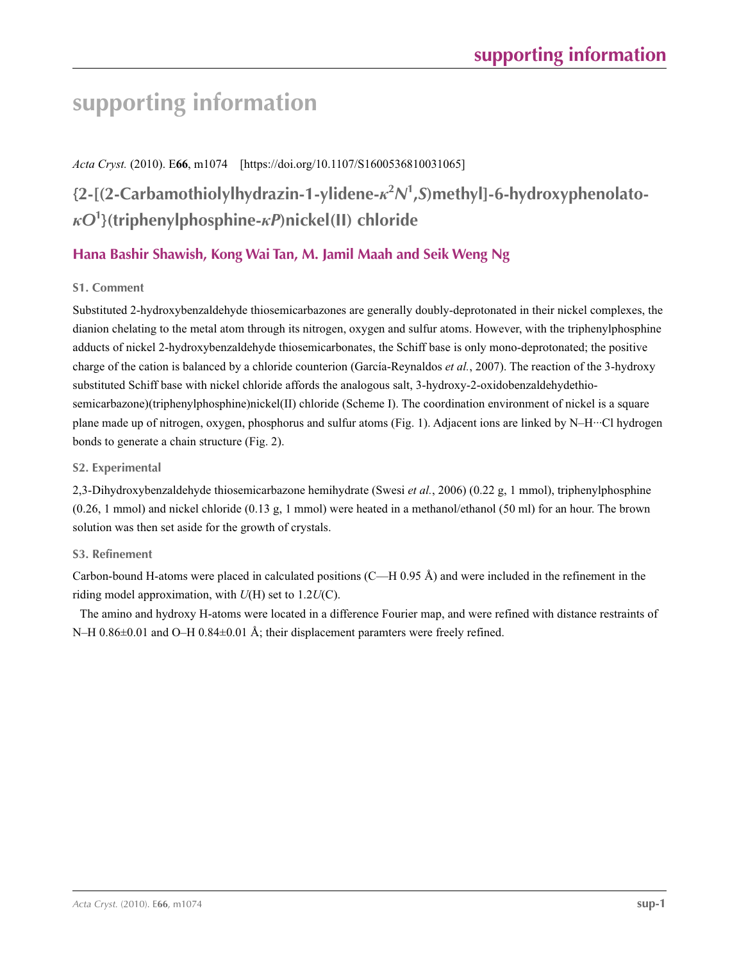# **supporting information**

## *Acta Cryst.* (2010). E**66**, m1074 [https://doi.org/10.1107/S1600536810031065]

## **{2-[(2-Carbamothiolylhydrazin-1-ylidene-***κ***<sup>2</sup>** *N***1 ,***S***)methyl]-6-hydroxyphenolato***κO***<sup>1</sup> }(triphenylphosphine-***κP***)nickel(II) chloride**

## **Hana Bashir Shawish, Kong Wai Tan, M. Jamil Maah and Seik Weng Ng**

### **S1. Comment**

Substituted 2-hydroxybenzaldehyde thiosemicarbazones are generally doubly-deprotonated in their nickel complexes, the dianion chelating to the metal atom through its nitrogen, oxygen and sulfur atoms. However, with the triphenylphosphine adducts of nickel 2-hydroxybenzaldehyde thiosemicarbonates, the Schiff base is only mono-deprotonated; the positive charge of the cation is balanced by a chloride counterion (García-Reynaldos *et al.*, 2007). The reaction of the 3-hydroxy substituted Schiff base with nickel chloride affords the analogous salt, 3-hydroxy-2-oxidobenzaldehydethiosemicarbazone)(triphenylphosphine)nickel(II) chloride (Scheme I). The coordination environment of nickel is a square plane made up of nitrogen, oxygen, phosphorus and sulfur atoms (Fig. 1). Adjacent ions are linked by N–H···Cl hydrogen bonds to generate a chain structure (Fig. 2).

### **S2. Experimental**

2,3-Dihydroxybenzaldehyde thiosemicarbazone hemihydrate (Swesi *et al.*, 2006) (0.22 g, 1 mmol), triphenylphosphine  $(0.26, 1 \text{ mmol})$  and nickel chloride  $(0.13 \text{ g}, 1 \text{ mmol})$  were heated in a methanol/ethanol  $(50 \text{ ml})$  for an hour. The brown solution was then set aside for the growth of crystals.

### **S3. Refinement**

Carbon-bound H-atoms were placed in calculated positions  $(C-H 0.95 \text{ Å})$  and were included in the refinement in the riding model approximation, with *U*(H) set to 1.2*U*(C).

The amino and hydroxy H-atoms were located in a difference Fourier map, and were refined with distance restraints of N–H 0.86 $\pm$ 0.01 and O–H 0.84 $\pm$ 0.01 Å; their displacement paramters were freely refined.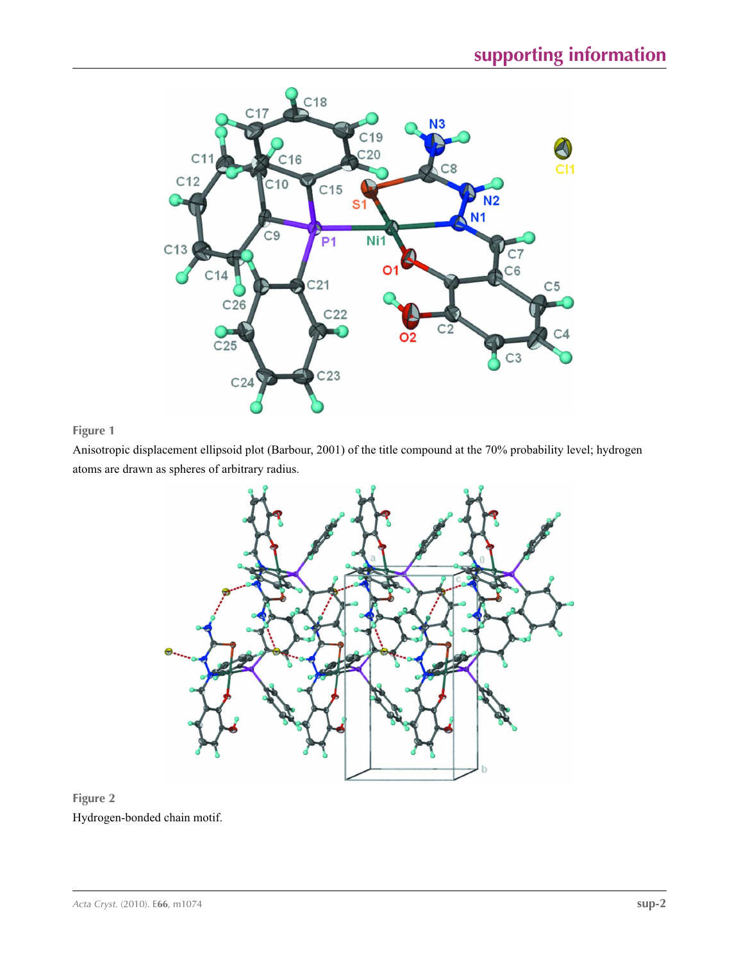

## **Figure 1**

Anisotropic displacement ellipsoid plot (Barbour, 2001) of the title compound at the 70% probability level; hydrogen atoms are drawn as spheres of arbitrary radius.



## **Figure 2** Hydrogen-bonded chain motif.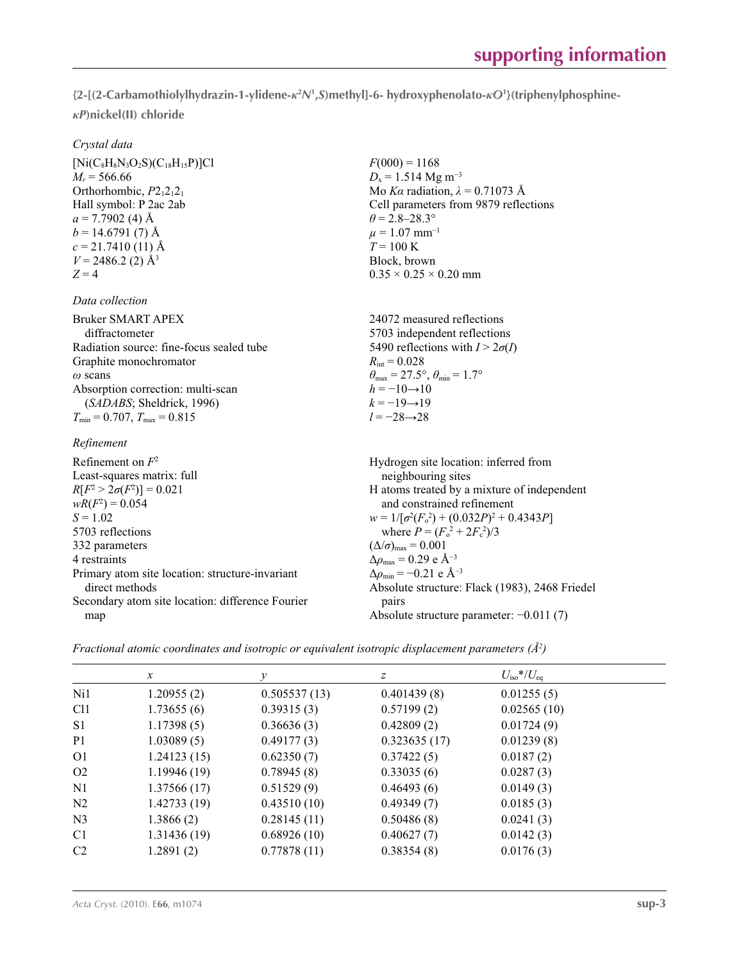**{2-[(2-Carbamothiolylhydrazin-1-ylidene-***κ***<sup>2</sup>** *N***<sup>1</sup> ,***S***)methyl]-6- hydroxyphenolato-***κO***<sup>1</sup> }(triphenylphosphine***κP***)nickel(II) chloride** 

> $F(000) = 1168$  $D_x = 1.514 \text{ Mg m}^{-3}$

 $\theta$  = 2.8–28.3°  $\mu = 1.07$  mm<sup>-1</sup>  $T = 100 \text{ K}$ Block, brown

 $R_{\text{int}} = 0.028$ 

 $h = -10 \rightarrow 10$  $k = -19 \rightarrow 19$ *l* = −28→28

 $0.35 \times 0.25 \times 0.20$  mm

 $\theta_{\text{max}} = 27.5^{\circ}, \theta_{\text{min}} = 1.7^{\circ}$ 

24072 measured reflections 5703 independent reflections 5490 reflections with  $I > 2\sigma(I)$ 

Mo *Kα* radiation,  $\lambda = 0.71073$  Å Cell parameters from 9879 reflections

 $[Ni(C_8H_8N_3O_2S)(C_{18}H_{15}P)]C1$  $M_r = 566.66$ Orthorhombic,  $P2_12_12_1$ Hall symbol: P 2ac 2ab  $a = 7.7902$  (4) Å  $b = 14.6791(7)$  Å  $c = 21.7410(11)$  Å  $V = 2486.2$  (2) Å<sup>3</sup>  $Z = 4$ 

### *Data collection*

Bruker SMART APEX diffractometer Radiation source: fine-focus sealed tube Graphite monochromator *ω* scans Absorption correction: multi-scan (*SADABS*; Sheldrick, 1996)  $T_{\text{min}} = 0.707$ ,  $T_{\text{max}} = 0.815$ 

### *Refinement*

Refinement on *F*<sup>2</sup> Least-squares matrix: full  $R[F^2 > 2\sigma(F^2)] = 0.021$  $wR(F^2) = 0.054$  $S = 1.02$ 5703 reflections 332 parameters 4 restraints Primary atom site location: structure-invariant direct methods Secondary atom site location: difference Fourier map Hydrogen site location: inferred from neighbouring sites H atoms treated by a mixture of independent and constrained refinement  $w = 1/[\sigma^2 (F_o^2) + (0.032P)^2 + 0.4343P]$ where  $P = (F_o^2 + 2F_c^2)/3$  $(\Delta/\sigma)_{\text{max}} = 0.001$  $Δρ<sub>max</sub> = 0.29 e Å<sup>-3</sup>$  $\Delta\rho_{\text{min}} = -0.21$  e Å<sup>-3</sup> Absolute structure: Flack (1983), 2468 Friedel pairs Absolute structure parameter: −0.011 (7)

*Fractional atomic coordinates and isotropic or equivalent isotropic displacement parameters (Å<sup>2</sup>)* 

|                 | $\mathcal{X}$ | ν            | Ζ            | $U_{\rm iso}*/U_{\rm eq}$ |  |
|-----------------|---------------|--------------|--------------|---------------------------|--|
| Ni1             | 1.20955(2)    | 0.505537(13) | 0.401439(8)  | 0.01255(5)                |  |
| Cl <sub>1</sub> | 1.73655(6)    | 0.39315(3)   | 0.57199(2)   | 0.02565(10)               |  |
| S <sub>1</sub>  | 1.17398(5)    | 0.36636(3)   | 0.42809(2)   | 0.01724(9)                |  |
| P <sub>1</sub>  | 1.03089(5)    | 0.49177(3)   | 0.323635(17) | 0.01239(8)                |  |
| O <sub>1</sub>  | 1.24123(15)   | 0.62350(7)   | 0.37422(5)   | 0.0187(2)                 |  |
| O <sub>2</sub>  | 1.19946(19)   | 0.78945(8)   | 0.33035(6)   | 0.0287(3)                 |  |
| N <sub>1</sub>  | 1.37566(17)   | 0.51529(9)   | 0.46493(6)   | 0.0149(3)                 |  |
| N <sub>2</sub>  | 1.42733(19)   | 0.43510(10)  | 0.49349(7)   | 0.0185(3)                 |  |
| N <sub>3</sub>  | 1.3866(2)     | 0.28145(11)  | 0.50486(8)   | 0.0241(3)                 |  |
| C1              | 1.31436(19)   | 0.68926(10)  | 0.40627(7)   | 0.0142(3)                 |  |
| C <sub>2</sub>  | 1.2891(2)     | 0.77878(11)  | 0.38354(8)   | 0.0176(3)                 |  |
|                 |               |              |              |                           |  |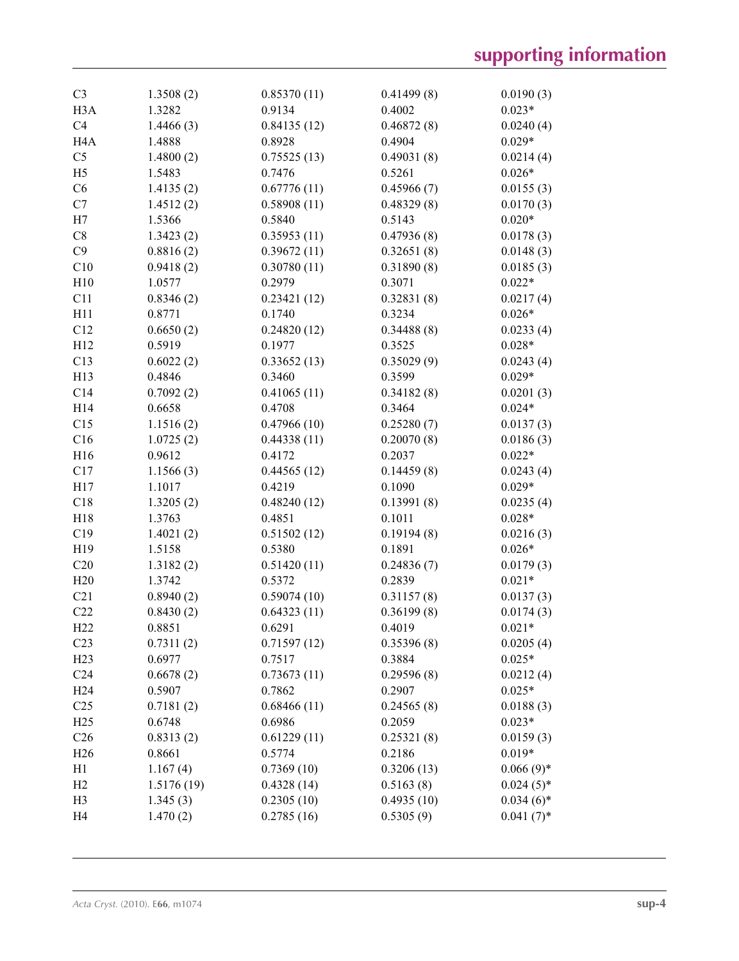| C <sub>3</sub>   | 1.3508(2)  | 0.85370(11) | 0.41499(8) | 0.0190(3)    |
|------------------|------------|-------------|------------|--------------|
| H <sub>3</sub> A | 1.3282     | 0.9134      | 0.4002     | $0.023*$     |
| C4               | 1.4466(3)  | 0.84135(12) | 0.46872(8) | 0.0240(4)    |
| H <sub>4</sub> A | 1.4888     | 0.8928      | 0.4904     | $0.029*$     |
| C <sub>5</sub>   | 1.4800(2)  | 0.75525(13) | 0.49031(8) | 0.0214(4)    |
| H <sub>5</sub>   | 1.5483     | 0.7476      | 0.5261     | $0.026*$     |
| C6               | 1.4135(2)  | 0.67776(11) | 0.45966(7) | 0.0155(3)    |
| C7               | 1.4512(2)  | 0.58908(11) | 0.48329(8) | 0.0170(3)    |
| H7               | 1.5366     | 0.5840      | 0.5143     | $0.020*$     |
| C8               | 1.3423(2)  | 0.35953(11) | 0.47936(8) | 0.0178(3)    |
| C9               | 0.8816(2)  | 0.39672(11) | 0.32651(8) | 0.0148(3)    |
| C10              | 0.9418(2)  | 0.30780(11) | 0.31890(8) | 0.0185(3)    |
| H10              | 1.0577     | 0.2979      | 0.3071     | $0.022*$     |
| C11              | 0.8346(2)  | 0.23421(12) | 0.32831(8) | 0.0217(4)    |
| H11              | 0.8771     | 0.1740      | 0.3234     | $0.026*$     |
| C12              | 0.6650(2)  | 0.24820(12) | 0.34488(8) | 0.0233(4)    |
| H12              | 0.5919     | 0.1977      | 0.3525     | $0.028*$     |
| C13              | 0.6022(2)  | 0.33652(13) | 0.35029(9) | 0.0243(4)    |
| H13              | 0.4846     | 0.3460      | 0.3599     | $0.029*$     |
| C14              | 0.7092(2)  | 0.41065(11) | 0.34182(8) | 0.0201(3)    |
| H14              | 0.6658     | 0.4708      | 0.3464     | $0.024*$     |
| C15              | 1.1516(2)  | 0.47966(10) | 0.25280(7) | 0.0137(3)    |
| C16              | 1.0725(2)  | 0.44338(11) | 0.20070(8) | 0.0186(3)    |
| H16              | 0.9612     | 0.4172      | 0.2037     | $0.022*$     |
| C17              | 1.1566(3)  | 0.44565(12) | 0.14459(8) | 0.0243(4)    |
| H17              | 1.1017     | 0.4219      | 0.1090     | $0.029*$     |
| C18              | 1.3205(2)  | 0.48240(12) | 0.13991(8) | 0.0235(4)    |
| H18              | 1.3763     | 0.4851      | 0.1011     | $0.028*$     |
| C19              | 1.4021(2)  | 0.51502(12) | 0.19194(8) | 0.0216(3)    |
| H19              | 1.5158     | 0.5380      | 0.1891     | $0.026*$     |
| C20              | 1.3182(2)  | 0.51420(11) | 0.24836(7) | 0.0179(3)    |
| H20              | 1.3742     | 0.5372      | 0.2839     | $0.021*$     |
| C21              | 0.8940(2)  | 0.59074(10) | 0.31157(8) | 0.0137(3)    |
| C22              | 0.8430(2)  | 0.64323(11) | 0.36199(8) | 0.0174(3)    |
| H22              | 0.8851     | 0.6291      | 0.4019     | $0.021*$     |
| C <sub>23</sub>  | 0.7311(2)  | 0.71597(12) | 0.35396(8) | 0.0205(4)    |
| H <sub>23</sub>  | 0.6977     | 0.7517      | 0.3884     | $0.025*$     |
| C <sub>24</sub>  | 0.6678(2)  | 0.73673(11) | 0.29596(8) | 0.0212(4)    |
| H <sub>24</sub>  | 0.5907     | 0.7862      | 0.2907     | $0.025*$     |
| C <sub>25</sub>  | 0.7181(2)  | 0.68466(11) | 0.24565(8) | 0.0188(3)    |
| H <sub>25</sub>  | 0.6748     | 0.6986      | 0.2059     | $0.023*$     |
| C <sub>26</sub>  | 0.8313(2)  | 0.61229(11) | 0.25321(8) | 0.0159(3)    |
| H <sub>26</sub>  | 0.8661     | 0.5774      | 0.2186     | $0.019*$     |
| H1               | 1.167(4)   | 0.7369(10)  | 0.3206(13) | $0.066(9)*$  |
| H2               | 1.5176(19) | 0.4328(14)  | 0.5163(8)  | $0.024(5)$ * |
| H <sub>3</sub>   | 1.345(3)   | 0.2305(10)  | 0.4935(10) | $0.034(6)$ * |
| H <sub>4</sub>   | 1.470(2)   | 0.2785(16)  | 0.5305(9)  | $0.041(7)$ * |
|                  |            |             |            |              |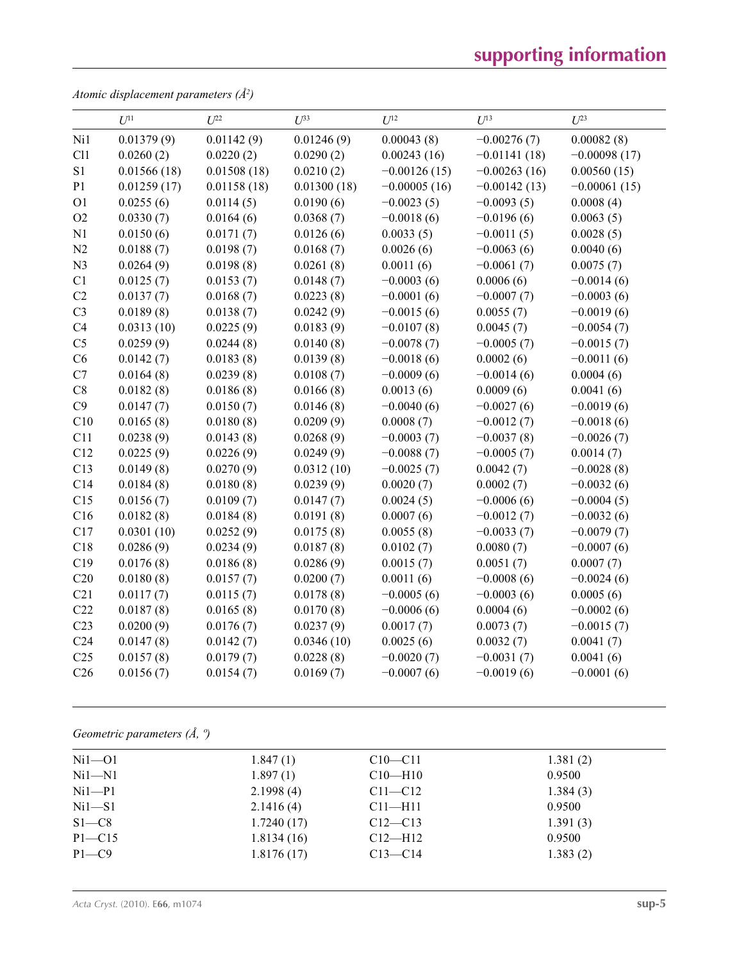# **supporting information**

*Atomic displacement parameters (Å2 )*

|                 | $U^{11}$    | $U^{22}$    | $U^{33}$    | $U^{12}$       | $U^{13}$       | $U^{23}$       |
|-----------------|-------------|-------------|-------------|----------------|----------------|----------------|
| Ni1             | 0.01379(9)  | 0.01142(9)  | 0.01246(9)  | 0.00043(8)     | $-0.00276(7)$  | 0.00082(8)     |
| C11             | 0.0260(2)   | 0.0220(2)   | 0.0290(2)   | 0.00243(16)    | $-0.01141(18)$ | $-0.00098(17)$ |
| S1              | 0.01566(18) | 0.01508(18) | 0.0210(2)   | $-0.00126(15)$ | $-0.00263(16)$ | 0.00560(15)    |
| P1              | 0.01259(17) | 0.01158(18) | 0.01300(18) | $-0.00005(16)$ | $-0.00142(13)$ | $-0.00061(15)$ |
| O <sub>1</sub>  | 0.0255(6)   | 0.0114(5)   | 0.0190(6)   | $-0.0023(5)$   | $-0.0093(5)$   | 0.0008(4)      |
| O2              | 0.0330(7)   | 0.0164(6)   | 0.0368(7)   | $-0.0018(6)$   | $-0.0196(6)$   | 0.0063(5)      |
| N1              | 0.0150(6)   | 0.0171(7)   | 0.0126(6)   | 0.0033(5)      | $-0.0011(5)$   | 0.0028(5)      |
| N <sub>2</sub>  | 0.0188(7)   | 0.0198(7)   | 0.0168(7)   | 0.0026(6)      | $-0.0063(6)$   | 0.0040(6)      |
| N <sub>3</sub>  | 0.0264(9)   | 0.0198(8)   | 0.0261(8)   | 0.0011(6)      | $-0.0061(7)$   | 0.0075(7)      |
| C1              | 0.0125(7)   | 0.0153(7)   | 0.0148(7)   | $-0.0003(6)$   | 0.0006(6)      | $-0.0014(6)$   |
| C2              | 0.0137(7)   | 0.0168(7)   | 0.0223(8)   | $-0.0001(6)$   | $-0.0007(7)$   | $-0.0003(6)$   |
| C <sub>3</sub>  | 0.0189(8)   | 0.0138(7)   | 0.0242(9)   | $-0.0015(6)$   | 0.0055(7)      | $-0.0019(6)$   |
| C4              | 0.0313(10)  | 0.0225(9)   | 0.0183(9)   | $-0.0107(8)$   | 0.0045(7)      | $-0.0054(7)$   |
| C <sub>5</sub>  | 0.0259(9)   | 0.0244(8)   | 0.0140(8)   | $-0.0078(7)$   | $-0.0005(7)$   | $-0.0015(7)$   |
| C6              | 0.0142(7)   | 0.0183(8)   | 0.0139(8)   | $-0.0018(6)$   | 0.0002(6)      | $-0.0011(6)$   |
| C7              | 0.0164(8)   | 0.0239(8)   | 0.0108(7)   | $-0.0009(6)$   | $-0.0014(6)$   | 0.0004(6)      |
| C8              | 0.0182(8)   | 0.0186(8)   | 0.0166(8)   | 0.0013(6)      | 0.0009(6)      | 0.0041(6)      |
| C9              | 0.0147(7)   | 0.0150(7)   | 0.0146(8)   | $-0.0040(6)$   | $-0.0027(6)$   | $-0.0019(6)$   |
| C10             | 0.0165(8)   | 0.0180(8)   | 0.0209(9)   | 0.0008(7)      | $-0.0012(7)$   | $-0.0018(6)$   |
| C11             | 0.0238(9)   | 0.0143(8)   | 0.0268(9)   | $-0.0003(7)$   | $-0.0037(8)$   | $-0.0026(7)$   |
| C12             | 0.0225(9)   | 0.0226(9)   | 0.0249(9)   | $-0.0088(7)$   | $-0.0005(7)$   | 0.0014(7)      |
| C13             | 0.0149(8)   | 0.0270(9)   | 0.0312(10)  | $-0.0025(7)$   | 0.0042(7)      | $-0.0028(8)$   |
| C14             | 0.0184(8)   | 0.0180(8)   | 0.0239(9)   | 0.0020(7)      | 0.0002(7)      | $-0.0032(6)$   |
| C15             | 0.0156(7)   | 0.0109(7)   | 0.0147(7)   | 0.0024(5)      | $-0.0006(6)$   | $-0.0004(5)$   |
| C16             | 0.0182(8)   | 0.0184(8)   | 0.0191(8)   | 0.0007(6)      | $-0.0012(7)$   | $-0.0032(6)$   |
| C17             | 0.0301(10)  | 0.0252(9)   | 0.0175(8)   | 0.0055(8)      | $-0.0033(7)$   | $-0.0079(7)$   |
| C18             | 0.0286(9)   | 0.0234(9)   | 0.0187(8)   | 0.0102(7)      | 0.0080(7)      | $-0.0007(6)$   |
| C19             | 0.0176(8)   | 0.0186(8)   | 0.0286(9)   | 0.0015(7)      | 0.0051(7)      | 0.0007(7)      |
| C20             | 0.0180(8)   | 0.0157(7)   | 0.0200(7)   | 0.0011(6)      | $-0.0008(6)$   | $-0.0024(6)$   |
| C21             | 0.0117(7)   | 0.0115(7)   | 0.0178(8)   | $-0.0005(6)$   | $-0.0003(6)$   | 0.0005(6)      |
| C22             | 0.0187(8)   | 0.0165(8)   | 0.0170(8)   | $-0.0006(6)$   | 0.0004(6)      | $-0.0002(6)$   |
| C <sub>23</sub> | 0.0200(9)   | 0.0176(7)   | 0.0237(9)   | 0.0017(7)      | 0.0073(7)      | $-0.0015(7)$   |
| C <sub>24</sub> | 0.0147(8)   | 0.0142(7)   | 0.0346(10)  | 0.0025(6)      | 0.0032(7)      | 0.0041(7)      |
| C <sub>25</sub> | 0.0157(8)   | 0.0179(7)   | 0.0228(8)   | $-0.0020(7)$   | $-0.0031(7)$   | 0.0041(6)      |
| C <sub>26</sub> | 0.0156(7)   | 0.0154(7)   | 0.0169(7)   | $-0.0007(6)$   | $-0.0019(6)$   | $-0.0001(6)$   |
|                 |             |             |             |                |                |                |

*Geometric parameters (Å, º)*

| $Ni1-O1$   | 1.847(1)   | $C10 - C11$   | 1.381(2) |  |
|------------|------------|---------------|----------|--|
| $Ni1 - N1$ | 1.897(1)   | $C10$ —H $10$ | 0.9500   |  |
| $Ni1-P1$   | 2.1998(4)  | $C11 - C12$   | 1.384(3) |  |
| $Ni1-S1$   | 2.1416(4)  | $C11$ —H11    | 0.9500   |  |
| $S1 - C8$  | 1.7240(17) | $C12-C13$     | 1.391(3) |  |
| $P1 - C15$ | 1.8134(16) | $C12-H12$     | 0.9500   |  |
| $P1 - C9$  | 1.8176(17) | $C13 - C14$   | 1.383(2) |  |
|            |            |               |          |  |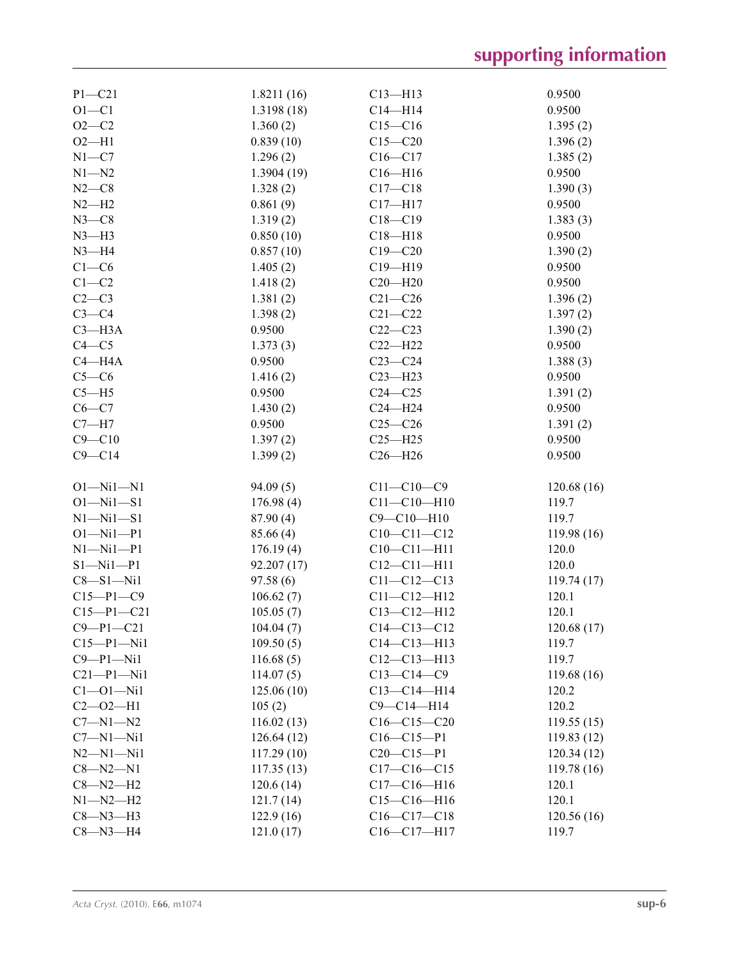| $P1 - C21$      | 1.8211(16) | $C13 - H13$       | 0.9500      |
|-----------------|------------|-------------------|-------------|
| $O1 - C1$       | 1.3198(18) | $C14 - H14$       | 0.9500      |
| $O2 - C2$       | 1.360(2)   | $C15 - C16$       | 1.395(2)    |
| $O2-H1$         | 0.839(10)  | $C15 - C20$       | 1.396(2)    |
| $N1 - C7$       | 1.296(2)   | $C16 - C17$       | 1.385(2)    |
| $N1 - N2$       | 1.3904(19) | $C16 - H16$       | 0.9500      |
| $N2-C8$         | 1.328(2)   | $C17 - C18$       | 1.390(3)    |
| $N2-H2$         | 0.861(9)   | $C17 - H17$       | 0.9500      |
| $N3-C8$         | 1.319(2)   | $C18 - C19$       | 1.383(3)    |
| $N3-H3$         | 0.850(10)  | $C18 - H18$       | 0.9500      |
| $N3 - H4$       | 0.857(10)  | $C19 - C20$       | 1.390(2)    |
| $C1-C6$         | 1.405(2)   | $C19 - H19$       | 0.9500      |
| $C1-C2$         |            |                   | 0.9500      |
|                 | 1.418(2)   | $C20 - H20$       |             |
| $C2-C3$         | 1.381(2)   | $C21 - C26$       | 1.396(2)    |
| $C3-C4$         | 1.398(2)   | $C21 - C22$       | 1.397(2)    |
| $C3 - H3A$      | 0.9500     | $C22 - C23$       | 1.390(2)    |
| $C4 - C5$       | 1.373(3)   | $C22-H22$         | 0.9500      |
| $C4 - H4A$      | 0.9500     | $C23-C24$         | 1.388(3)    |
| $C5-C6$         | 1.416(2)   | $C23 - H23$       | 0.9500      |
| $C5 - H5$       | 0.9500     | $C24 - C25$       | 1.391(2)    |
| $C6-C7$         | 1.430(2)   | $C24 - H24$       | 0.9500      |
| $C7 - H7$       | 0.9500     | $C25 - C26$       | 1.391(2)    |
| $C9 - C10$      | 1.397(2)   | $C25 - H25$       | 0.9500      |
| $C9 - C14$      | 1.399(2)   | $C26 - H26$       | 0.9500      |
|                 |            |                   |             |
| $O1 - Ni1 - N1$ | 94.09(5)   | $C11 - C10 - C9$  | 120.68(16)  |
| $O1 - Ni1 - S1$ | 176.98(4)  | $C11 - C10 - H10$ | 119.7       |
| $N1 - N1 - S1$  | 87.90(4)   | $C9 - C10 - H10$  | 119.7       |
| $O1 - Ni1 - P1$ | 85.66 (4)  | $C10-C11-C12$     | 119.98(16)  |
| $N1 - N1 - P1$  | 176.19(4)  | $C10-C11-H11$     | 120.0       |
| $S1 - Ni1 - P1$ | 92.207(17) | $C12 - C11 - H11$ | 120.0       |
| $C8 - S1 - Ni1$ | 97.58(6)   | $C11 - C12 - C13$ | 119.74(17)  |
| $C15-P1-C9$     | 106.62(7)  | $C11 - C12 - H12$ | 120.1       |
| $C15-P1-C21$    | 105.05(7)  | $C13 - C12 - H12$ | 120.1       |
| $C9 - P1 - C21$ | 104.04(7)  | $C14 - C13 - C12$ | 120.68(17)  |
| $C15-P1-Ni1$    | 109.50(5)  | $C14 - C13 - H13$ | 119.7       |
| $C9 - P1 - Ni1$ | 116.68(5)  | $C12 - C13 - H13$ | 119.7       |
| $C21-P1-Ni1$    | 114.07(5)  | $C13 - C14 - C9$  | 119.68(16)  |
| $Cl - O1 - Ni1$ | 125.06(10) | $C13 - C14 - H14$ | 120.2       |
| $C2 - 02 - H1$  | 105(2)     | $C9 - C14 - H14$  | 120.2       |
|                 |            |                   |             |
| $C7 - N1 - N2$  | 116.02(13) | $C16-C15-C20$     | 119.55(15)  |
| $C7 - N1 - N11$ | 126.64(12) | $C16 - C15 - P1$  | 119.83(12)  |
| $N2 - N1 - N11$ | 117.29(10) | $C20-C15-P1$      | 120.34(12)  |
| $C8 - N2 - N1$  | 117.35(13) | $C17 - C16 - C15$ | 119.78 (16) |
| $C8 - N2 - H2$  | 120.6(14)  | $C17 - C16 - H16$ | 120.1       |
| $N1 - N2 - H2$  | 121.7(14)  | $C15-C16-H16$     | 120.1       |
| $C8 - N3 - H3$  | 122.9(16)  | $C16-C17-C18$     | 120.56(16)  |
| $C8 - N3 - H4$  | 121.0(17)  | $C16 - C17 - H17$ | 119.7       |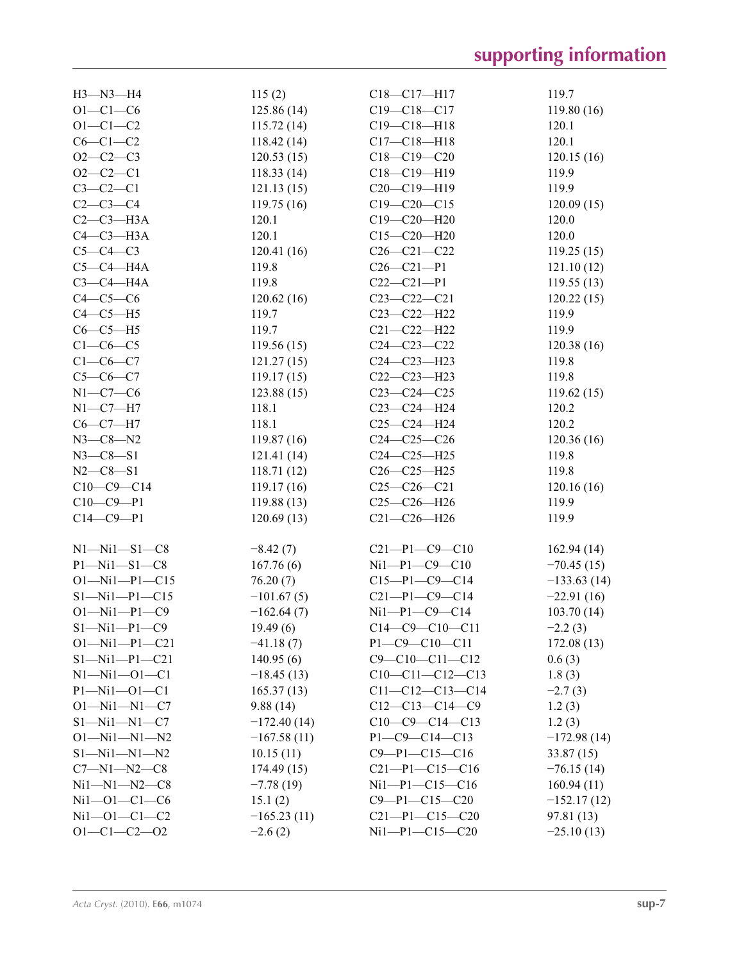| H3-N3-H4              | 115(2)        | $C18 - C17 - H17$      | 119.7         |
|-----------------------|---------------|------------------------|---------------|
| $O1 - C1 - C6$        | 125.86(14)    | $C19 - C18 - C17$      | 119.80(16)    |
| $O1 - C1 - C2$        | 115.72(14)    | $C19 - C18 - H18$      | 120.1         |
| $C6-C1-C2$            | 118.42(14)    | $C17 - C18 - H18$      | 120.1         |
| $O2 - C2 - C3$        | 120.53(15)    | $C18 - C19 - C20$      | 120.15(16)    |
| $O2 - C2 - C1$        | 118.33(14)    | C18-C19-H19            | 119.9         |
| $C3-C2-C1$            | 121.13(15)    | $C20-C19-H19$          | 119.9         |
| $C2-C3-C4$            | 119.75(16)    | $C19 - C20 - C15$      | 120.09(15)    |
| $C2-C3-H3A$           | 120.1         | $C19 - C20 - H20$      | 120.0         |
| $C4-C3-H3A$           | 120.1         | $C15 - C20 - H20$      | 120.0         |
| $C5-C4-C3$            | 120.41(16)    | $C26 - C21 - C22$      | 119.25(15)    |
| $C5-C4-H4A$           | 119.8         | $C26 - C21 - P1$       | 121.10(12)    |
| $C3-C4-H4A$           | 119.8         | $C22-C21-P1$           | 119.55(13)    |
| $C4-C5-C6$            | 120.62(16)    | $C23 - C22 - C21$      | 120.22(15)    |
| $C4-C5-H5$            | 119.7         | $C23 - C22 - H22$      | 119.9         |
| $C6-C5-H5$            | 119.7         | $C21 - C22 - H22$      | 119.9         |
| $C1-C6-C5$            | 119.56(15)    | $C24 - C23 - C22$      | 120.38(16)    |
| $C1-C6-C7$            |               |                        |               |
| $C5-C6-C7$            | 121.27(15)    | $C24 - C23 - H23$      | 119.8         |
|                       | 119.17(15)    | $C22-C23-H23$          | 119.8         |
| $N1-C7-C6$            | 123.88(15)    | $C23-C24-C25$          | 119.62(15)    |
| $N1-C7-H7$            | 118.1         | $C23-C24-H24$          | 120.2         |
| $C6-C7-H7$            | 118.1         | $C25-C24-H24$          | 120.2         |
| $N3 - C8 - N2$        | 119.87(16)    | $C24 - C25 - C26$      | 120.36(16)    |
| $N3 - C8 - S1$        | 121.41(14)    | $C24 - C25 - H25$      | 119.8         |
| $N2 - C8 - S1$        | 118.71(12)    | $C26 - C25 - H25$      | 119.8         |
| $C10-C9-C14$          | 119.17(16)    | $C25-C26-C21$          | 120.16(16)    |
| $C10-C9-P1$           | 119.88(13)    | $C25-C26-H26$          | 119.9         |
| $C14 - C9 - P1$       | 120.69(13)    | $C21 - C26 - H26$      | 119.9         |
|                       |               |                        |               |
| $N1 - N11 - S1 - C8$  | $-8.42(7)$    | $C21-P1-C9-C10$        | 162.94(14)    |
| $P1 - Ni1 - S1 - C8$  | 167.76(6)     | $Ni1 - P1 - C9 - C10$  | $-70.45(15)$  |
| $O1 - Nil - P1 - C15$ | 76.20(7)      | $C15-P1-C9-C14$        | $-133.63(14)$ |
| $S1 - Ni1 - P1 - C15$ | $-101.67(5)$  | $C21-P1-C9-C14$        | $-22.91(16)$  |
| $O1 - Ni1 - P1 - C9$  | $-162.64(7)$  | $Ni1 - P1 - C9 - C14$  | 103.70 (14)   |
| $S1 - Ni1 - P1 - C9$  | 19.49(6)      | $C14-C9-C10-C11$       | $-2.2(3)$     |
| $O1 - Nil - P1 - C21$ | $-41.18(7)$   | $P1 - C9 - C10 - C11$  | 172.08(13)    |
| $S1 - Ni1 - P1 - C21$ | 140.95(6)     | $C9 - C10 - C11 - C12$ | 0.6(3)        |
| $N1 - N11 - O1 - C1$  | $-18.45(13)$  | $C10-C11-C12-C13$      | 1.8(3)        |
| $P1 - Ni1 - O1 - C1$  | 165.37(13)    | $C11-C12-C13-C14$      | $-2.7(3)$     |
| $O1 - Ni1 - N1 - C7$  | 9.88(14)      | $C12-C13-C14-C9$       | 1.2(3)        |
| $S1 - Ni1 - N1 - C7$  | $-172.40(14)$ | $C10-C9-C14-C13$       | 1.2(3)        |
| $O1 - Ni1 - N1 - N2$  | $-167.58(11)$ | $P1 - C9 - C14 - C13$  | $-172.98(14)$ |
| $S1 - Ni1 - N1 - N2$  | 10.15(11)     | $C9 - P1 - C15 - C16$  | 33.87(15)     |
| $C7 - N1 - N2 - C8$   | 174.49(15)    | $C21-P1-C15-C16$       | $-76.15(14)$  |
| $Ni1 - N1 - N2 - C8$  | $-7.78(19)$   | $Ni1-P1-C15-C16$       | 160.94(11)    |
| $Ni1 - O1 - Cl - C6$  | 15.1(2)       | $C9 - P1 - C15 - C20$  | $-152.17(12)$ |
| $Ni1 - O1 - Cl - C2$  | $-165.23(11)$ | $C21-P1-C15-C20$       | 97.81 (13)    |
| $O1 - C1 - C2 - O2$   | $-2.6(2)$     | $Ni1 - P1 - C15 - C20$ | $-25.10(13)$  |